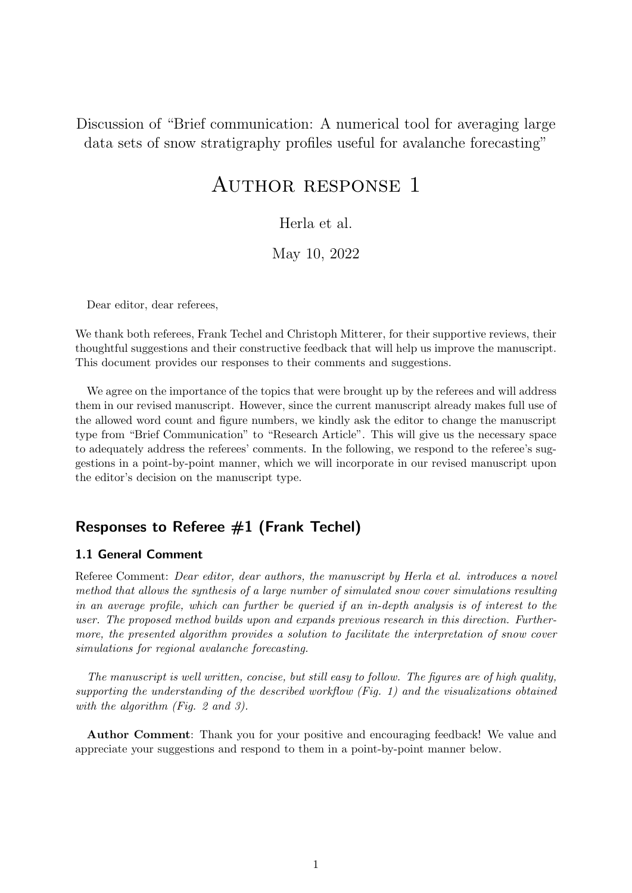Discussion of "Brief communication: A numerical tool for averaging large data sets of snow stratigraphy profiles useful for avalanche forecasting"

# Author response 1

# Herla et al.

# May 10, 2022

Dear editor, dear referees,

We thank both referees, Frank Techel and Christoph Mitterer, for their supportive reviews, their thoughtful suggestions and their constructive feedback that will help us improve the manuscript. This document provides our responses to their comments and suggestions.

We agree on the importance of the topics that were brought up by the referees and will address them in our revised manuscript. However, since the current manuscript already makes full use of the allowed word count and figure numbers, we kindly ask the editor to change the manuscript type from "Brief Communication" to "Research Article". This will give us the necessary space to adequately address the referees' comments. In the following, we respond to the referee's suggestions in a point-by-point manner, which we will incorporate in our revised manuscript upon the editor's decision on the manuscript type.

# Responses to Referee #1 (Frank Techel)

# 1.1 General Comment

Referee Comment: Dear editor, dear authors, the manuscript by Herla et al. introduces a novel method that allows the synthesis of a large number of simulated snow cover simulations resulting in an average profile, which can further be queried if an in-depth analysis is of interest to the user. The proposed method builds upon and expands previous research in this direction. Furthermore, the presented algorithm provides a solution to facilitate the interpretation of snow cover simulations for regional avalanche forecasting.

The manuscript is well written, concise, but still easy to follow. The figures are of high quality, supporting the understanding of the described workflow (Fig. 1) and the visualizations obtained with the algorithm (Fig. 2 and 3).

Author Comment: Thank you for your positive and encouraging feedback! We value and appreciate your suggestions and respond to them in a point-by-point manner below.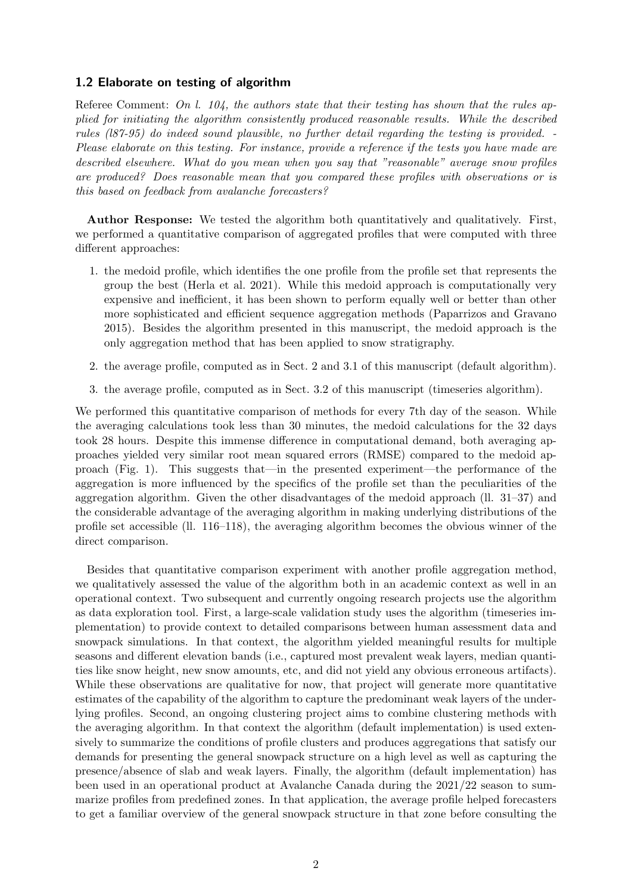## 1.2 Elaborate on testing of algorithm

Referee Comment: On l. 104, the authors state that their testing has shown that the rules applied for initiating the algorithm consistently produced reasonable results. While the described rules (l87-95) do indeed sound plausible, no further detail regarding the testing is provided. - Please elaborate on this testing. For instance, provide a reference if the tests you have made are described elsewhere. What do you mean when you say that "reasonable" average snow profiles are produced? Does reasonable mean that you compared these profiles with observations or is this based on feedback from avalanche forecasters?

Author Response: We tested the algorithm both quantitatively and qualitatively. First, we performed a quantitative comparison of aggregated profiles that were computed with three different approaches:

- 1. the medoid profile, which identifies the one profile from the profile set that represents the group the best [\(Herla et al. 2021\)](#page-11-0). While this medoid approach is computationally very expensive and inefficient, it has been shown to perform equally well or better than other more sophisticated and efficient sequence aggregation methods [\(Paparrizos and Gravano](#page-12-0) [2015\)](#page-12-0). Besides the algorithm presented in this manuscript, the medoid approach is the only aggregation method that has been applied to snow stratigraphy.
- 2. the average profile, computed as in Sect. 2 and 3.1 of this manuscript (default algorithm).
- 3. the average profile, computed as in Sect. 3.2 of this manuscript (timeseries algorithm).

We performed this quantitative comparison of methods for every 7th day of the season. While the averaging calculations took less than 30 minutes, the medoid calculations for the 32 days took 28 hours. Despite this immense difference in computational demand, both averaging approaches yielded very similar root mean squared errors (RMSE) compared to the medoid approach (Fig. [1\)](#page-2-0). This suggests that—in the presented experiment—the performance of the aggregation is more influenced by the specifics of the profile set than the peculiarities of the aggregation algorithm. Given the other disadvantages of the medoid approach (ll. 31–37) and the considerable advantage of the averaging algorithm in making underlying distributions of the profile set accessible (ll. 116–118), the averaging algorithm becomes the obvious winner of the direct comparison.

Besides that quantitative comparison experiment with another profile aggregation method, we qualitatively assessed the value of the algorithm both in an academic context as well in an operational context. Two subsequent and currently ongoing research projects use the algorithm as data exploration tool. First, a large-scale validation study uses the algorithm (timeseries implementation) to provide context to detailed comparisons between human assessment data and snowpack simulations. In that context, the algorithm yielded meaningful results for multiple seasons and different elevation bands (i.e., captured most prevalent weak layers, median quantities like snow height, new snow amounts, etc, and did not yield any obvious erroneous artifacts). While these observations are qualitative for now, that project will generate more quantitative estimates of the capability of the algorithm to capture the predominant weak layers of the underlying profiles. Second, an ongoing clustering project aims to combine clustering methods with the averaging algorithm. In that context the algorithm (default implementation) is used extensively to summarize the conditions of profile clusters and produces aggregations that satisfy our demands for presenting the general snowpack structure on a high level as well as capturing the presence/absence of slab and weak layers. Finally, the algorithm (default implementation) has been used in an operational product at Avalanche Canada during the 2021/22 season to summarize profiles from predefined zones. In that application, the average profile helped forecasters to get a familiar overview of the general snowpack structure in that zone before consulting the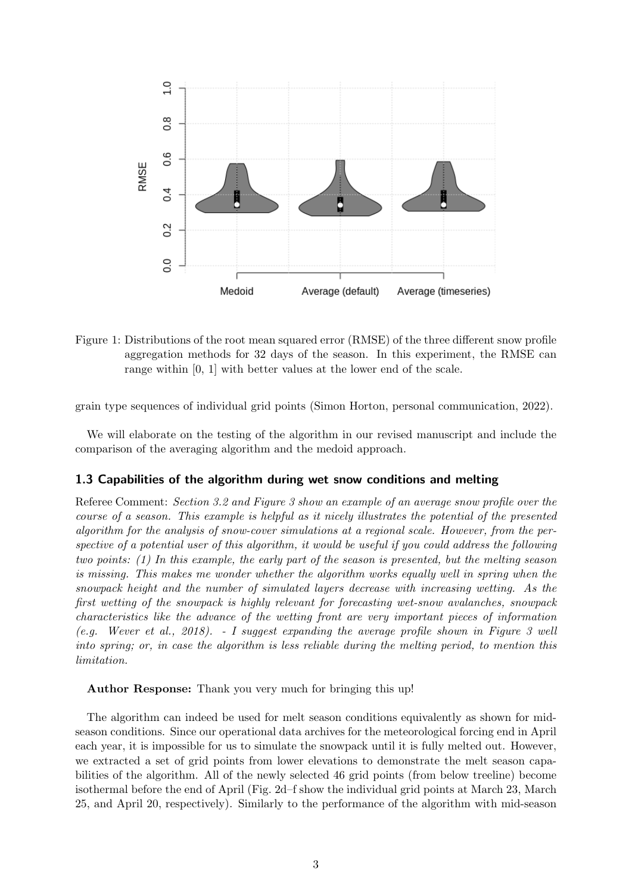

<span id="page-2-0"></span>Figure 1: Distributions of the root mean squared error (RMSE) of the three different snow profile aggregation methods for 32 days of the season. In this experiment, the RMSE can range within [0, 1] with better values at the lower end of the scale.

grain type sequences of individual grid points (Simon Horton, personal communication, 2022).

We will elaborate on the testing of the algorithm in our revised manuscript and include the comparison of the averaging algorithm and the medoid approach.

## 1.3 Capabilities of the algorithm during wet snow conditions and melting

Referee Comment: Section 3.2 and Figure 3 show an example of an average snow profile over the course of a season. This example is helpful as it nicely illustrates the potential of the presented algorithm for the analysis of snow-cover simulations at a regional scale. However, from the perspective of a potential user of this algorithm, it would be useful if you could address the following two points: (1) In this example, the early part of the season is presented, but the melting season is missing. This makes me wonder whether the algorithm works equally well in spring when the snowpack height and the number of simulated layers decrease with increasing wetting. As the first wetting of the snowpack is highly relevant for forecasting wet-snow avalanches, snowpack characteristics like the advance of the wetting front are very important pieces of information (e.g. Wever et al., 2018). - I suggest expanding the average profile shown in Figure 3 well into spring; or, in case the algorithm is less reliable during the melting period, to mention this limitation.

Author Response: Thank you very much for bringing this up!

The algorithm can indeed be used for melt season conditions equivalently as shown for midseason conditions. Since our operational data archives for the meteorological forcing end in April each year, it is impossible for us to simulate the snowpack until it is fully melted out. However, we extracted a set of grid points from lower elevations to demonstrate the melt season capabilities of the algorithm. All of the newly selected 46 grid points (from below treeline) become isothermal before the end of April (Fig. [2d](#page-4-0)–f show the individual grid points at March 23, March 25, and April 20, respectively). Similarly to the performance of the algorithm with mid-season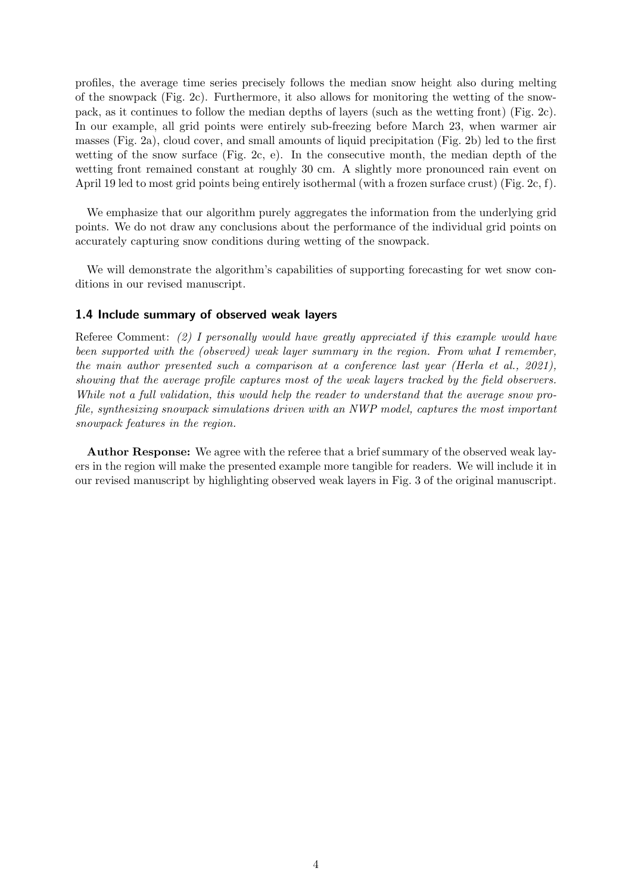profiles, the average time series precisely follows the median snow height also during melting of the snowpack (Fig. [2c](#page-4-0)). Furthermore, it also allows for monitoring the wetting of the snowpack, as it continues to follow the median depths of layers (such as the wetting front) (Fig. [2c](#page-4-0)). In our example, all grid points were entirely sub-freezing before March 23, when warmer air masses (Fig. [2a](#page-4-0)), cloud cover, and small amounts of liquid precipitation (Fig. [2b](#page-4-0)) led to the first wetting of the snow surface (Fig. [2c](#page-4-0), e). In the consecutive month, the median depth of the wetting front remained constant at roughly 30 cm. A slightly more pronounced rain event on April 19 led to most grid points being entirely isothermal (with a frozen surface crust) (Fig. [2c](#page-4-0), f).

We emphasize that our algorithm purely aggregates the information from the underlying grid points. We do not draw any conclusions about the performance of the individual grid points on accurately capturing snow conditions during wetting of the snowpack.

We will demonstrate the algorithm's capabilities of supporting forecasting for wet snow conditions in our revised manuscript.

#### 1.4 Include summary of observed weak layers

Referee Comment: (2) I personally would have greatly appreciated if this example would have been supported with the (observed) weak layer summary in the region. From what I remember, the main author presented such a comparison at a conference last year (Herla et al., 2021), showing that the average profile captures most of the weak layers tracked by the field observers. While not a full validation, this would help the reader to understand that the average snow profile, synthesizing snowpack simulations driven with an NWP model, captures the most important snowpack features in the region.

Author Response: We agree with the referee that a brief summary of the observed weak layers in the region will make the presented example more tangible for readers. We will include it in our revised manuscript by highlighting observed weak layers in Fig. 3 of the original manuscript.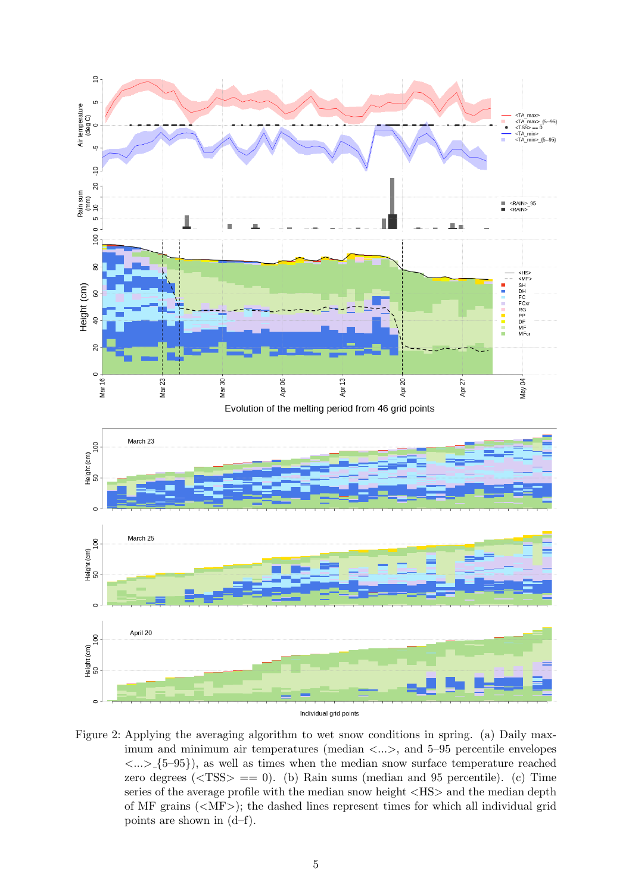

<span id="page-4-0"></span>Figure 2: Applying the averaging algorithm to wet snow conditions in spring. (a) Daily maximum and minimum air temperatures (median  $\langle \ldots \rangle$ , and 5–95 percentile envelopes  $\langle ... \rangle$  {5–95}, as well as times when the median snow surface temperature reached zero degrees  $(<$ TSS $> == 0$ ). (b) Rain sums (median and 95 percentile). (c) Time series of the average profile with the median snow height <HS> and the median depth of MF grains  $(<\angle$ MF $>$ ); the dashed lines represent times for which all individual grid points are shown in (d–f).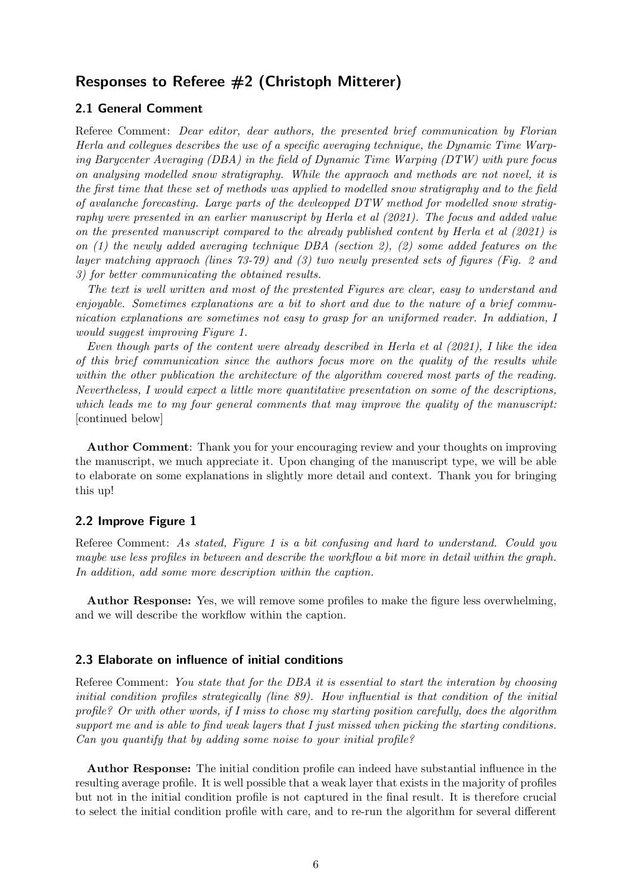# Responses to Referee #2 (Christoph Mitterer)

# 2.1 General Comment

Referee Comment: Dear editor, dear authors, the presented brief communication by Florian Herla and collegues describes the use of a specific averaging technique, the Dynamic Time Warping Barycenter Averaging (DBA) in the field of Dynamic Time Warping (DTW) with pure focus on analysing modelled snow stratigraphy. While the appraoch and methods are not novel, it is the first time that these set of methods was applied to modelled snow stratigraphy and to the field of avalanche forecasting. Large parts of the devleopped DTW method for modelled snow stratigraphy were presented in an earlier manuscript by Herla et al (2021). The focus and added value on the presented manuscript compared to the already published content by Herla et al (2021) is on  $(1)$  the newly added averaging technique DBA (section 2),  $(2)$  some added features on the layer matching appraoch (lines 73-79) and (3) two newly presented sets of figures (Fig. 2 and 3) for better communicating the obtained results.

The text is well written and most of the prestented Figures are clear, easy to understand and enjoyable. Sometimes explanations are a bit to short and due to the nature of a brief communication explanations are sometimes not easy to grasp for an uniformed reader. In addiation, I would suggest improving Figure 1.

Even though parts of the content were already described in Herla et al (2021), I like the idea of this brief communication since the authors focus more on the quality of the results while within the other publication the architecture of the algorithm covered most parts of the reading. Nevertheless, I would expect a little more quantitative presentation on some of the descriptions, which leads me to my four general comments that may improve the quality of the manuscript: [continued below]

Author Comment: Thank you for your encouraging review and your thoughts on improving the manuscript, we much appreciate it. Upon changing of the manuscript type, we will be able to elaborate on some explanations in slightly more detail and context. Thank you for bringing this up!

## 2.2 Improve Figure 1

Referee Comment: As stated, Figure 1 is a bit confusing and hard to understand. Could you maybe use less profiles in between and describe the workflow a bit more in detail within the graph. In addition, add some more description within the caption.

Author Response: Yes, we will remove some profiles to make the figure less overwhelming, and we will describe the workflow within the caption.

#### 2.3 Elaborate on influence of initial conditions

Referee Comment: You state that for the DBA it is essential to start the interation by choosing initial condition profiles strategically (line 89). How influential is that condition of the initial profile? Or with other words, if I miss to chose my starting position carefully, does the algorithm support me and is able to find weak layers that I just missed when picking the starting conditions. Can you quantify that by adding some noise to your initial profile?

Author Response: The initial condition profile can indeed have substantial influence in the resulting average profile. It is well possible that a weak layer that exists in the majority of profiles but not in the initial condition profile is not captured in the final result. It is therefore crucial to select the initial condition profile with care, and to re-run the algorithm for several different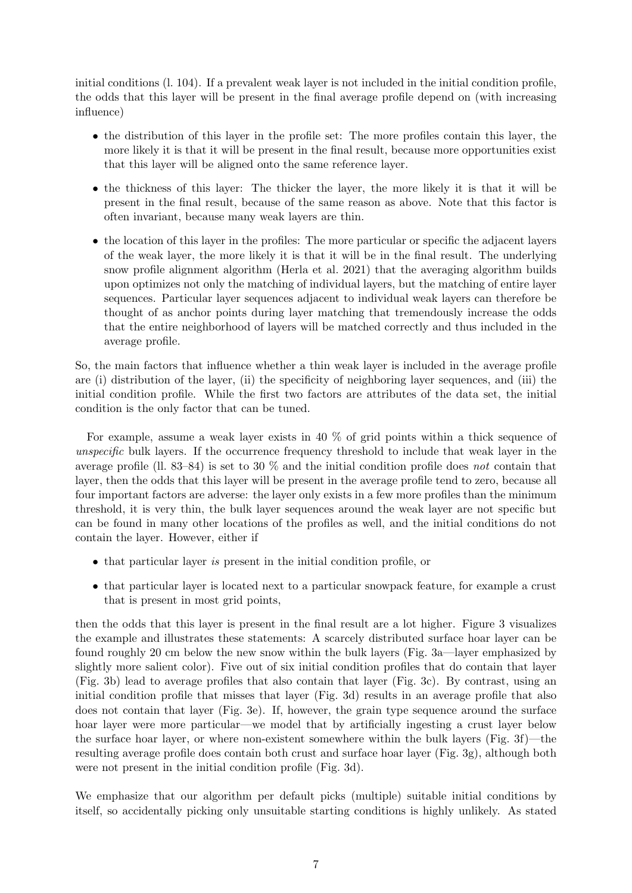initial conditions (l. 104). If a prevalent weak layer is not included in the initial condition profile, the odds that this layer will be present in the final average profile depend on (with increasing influence)

- the distribution of this layer in the profile set: The more profiles contain this layer, the more likely it is that it will be present in the final result, because more opportunities exist that this layer will be aligned onto the same reference layer.
- the thickness of this layer: The thicker the layer, the more likely it is that it will be present in the final result, because of the same reason as above. Note that this factor is often invariant, because many weak layers are thin.
- the location of this layer in the profiles: The more particular or specific the adjacent layers of the weak layer, the more likely it is that it will be in the final result. The underlying snow profile alignment algorithm [\(Herla et al. 2021\)](#page-11-0) that the averaging algorithm builds upon optimizes not only the matching of individual layers, but the matching of entire layer sequences. Particular layer sequences adjacent to individual weak layers can therefore be thought of as anchor points during layer matching that tremendously increase the odds that the entire neighborhood of layers will be matched correctly and thus included in the average profile.

So, the main factors that influence whether a thin weak layer is included in the average profile are (i) distribution of the layer, (ii) the specificity of neighboring layer sequences, and (iii) the initial condition profile. While the first two factors are attributes of the data set, the initial condition is the only factor that can be tuned.

For example, assume a weak layer exists in 40 % of grid points within a thick sequence of unspecific bulk layers. If the occurrence frequency threshold to include that weak layer in the average profile (ll. 83–84) is set to 30  $\%$  and the initial condition profile does not contain that layer, then the odds that this layer will be present in the average profile tend to zero, because all four important factors are adverse: the layer only exists in a few more profiles than the minimum threshold, it is very thin, the bulk layer sequences around the weak layer are not specific but can be found in many other locations of the profiles as well, and the initial conditions do not contain the layer. However, either if

- that particular layer is present in the initial condition profile, or
- that particular layer is located next to a particular snowpack feature, for example a crust that is present in most grid points,

then the odds that this layer is present in the final result are a lot higher. Figure [3](#page-8-0) visualizes the example and illustrates these statements: A scarcely distributed surface hoar layer can be found roughly 20 cm below the new snow within the bulk layers (Fig. [3a](#page-8-0)—layer emphasized by slightly more salient color). Five out of six initial condition profiles that do contain that layer (Fig. [3b](#page-8-0)) lead to average profiles that also contain that layer (Fig. [3c](#page-8-0)). By contrast, using an initial condition profile that misses that layer (Fig. [3d](#page-8-0)) results in an average profile that also does not contain that layer (Fig. [3e](#page-8-0)). If, however, the grain type sequence around the surface hoar layer were more particular—we model that by artificially ingesting a crust layer below the surface hoar layer, or where non-existent somewhere within the bulk layers (Fig. [3f](#page-8-0))—the resulting average profile does contain both crust and surface hoar layer (Fig. [3g](#page-8-0)), although both were not present in the initial condition profile (Fig. [3d](#page-8-0)).

We emphasize that our algorithm per default picks (multiple) suitable initial conditions by itself, so accidentally picking only unsuitable starting conditions is highly unlikely. As stated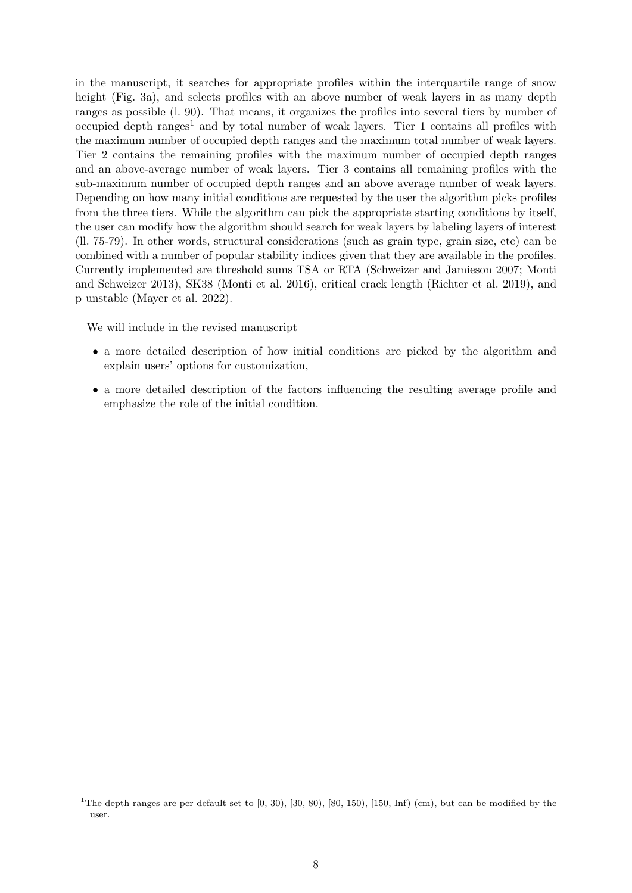in the manuscript, it searches for appropriate profiles within the interquartile range of snow height (Fig. [3a](#page-8-0)), and selects profiles with an above number of weak layers in as many depth ranges as possible (l. 90). That means, it organizes the profiles into several tiers by number of occupied depth  $\text{ranges}^1$  $\text{ranges}^1$  and by total number of weak layers. Tier 1 contains all profiles with the maximum number of occupied depth ranges and the maximum total number of weak layers. Tier 2 contains the remaining profiles with the maximum number of occupied depth ranges and an above-average number of weak layers. Tier 3 contains all remaining profiles with the sub-maximum number of occupied depth ranges and an above average number of weak layers. Depending on how many initial conditions are requested by the user the algorithm picks profiles from the three tiers. While the algorithm can pick the appropriate starting conditions by itself, the user can modify how the algorithm should search for weak layers by labeling layers of interest (ll. 75-79). In other words, structural considerations (such as grain type, grain size, etc) can be combined with a number of popular stability indices given that they are available in the profiles. Currently implemented are threshold sums TSA or RTA [\(Schweizer and Jamieson 2007;](#page-12-1) [Monti](#page-12-2) [and Schweizer 2013\)](#page-12-2), SK38 [\(Monti et al. 2016\)](#page-12-3), critical crack length [\(Richter et al. 2019\)](#page-12-4), and p unstable [\(Mayer et al. 2022\)](#page-11-1).

We will include in the revised manuscript

- a more detailed description of how initial conditions are picked by the algorithm and explain users' options for customization,
- a more detailed description of the factors influencing the resulting average profile and emphasize the role of the initial condition.

<span id="page-7-0"></span><sup>&</sup>lt;sup>1</sup>The depth ranges are per default set to  $(0, 30)$ ,  $(30, 80)$ ,  $(80, 150)$ ,  $(150, Inf)$  (cm), but can be modified by the user.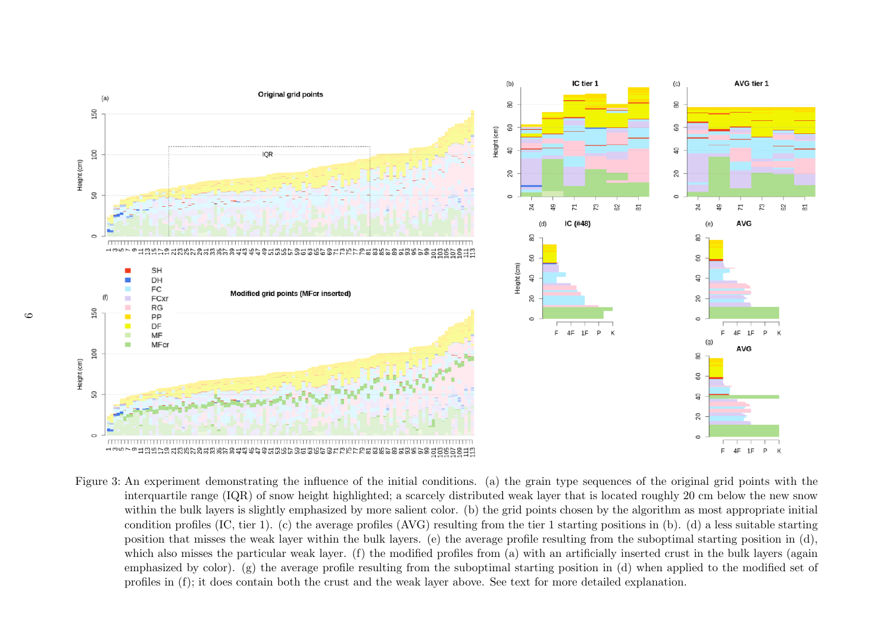<span id="page-8-0"></span>

Figure 3: An experiment demonstrating the influence of the initial conditions. (a) the grain type sequences of the original grid points with the interquartile range (IQR) of snow height highlighted; <sup>a</sup> scarcely distributed weak layer that is located roughly <sup>20</sup> cm below the new snow within the bulk layers is slightly emphasized by more salient color. (b) the grid points chosen by the algorithm as most appropriate initialcondition profiles (IC, tier 1). (c) the average profiles (AVG) resulting from the tier <sup>1</sup> starting positions in (b). (d) <sup>a</sup> less suitable starting position that misses the weak layer within the bulk layers. (e) the average profile resulting from the suboptimal starting position in (d),which also misses the particular weak layer. (f) the modified profiles from (a) with an artificially inserted crust in the bulk layers (again emphasized by color). (g) the average profile resulting from the suboptimal starting position in (d) when applied to the modified set ofprofiles in (f); it does contain both the crust and the weak layer above. See text for more detailed explanation.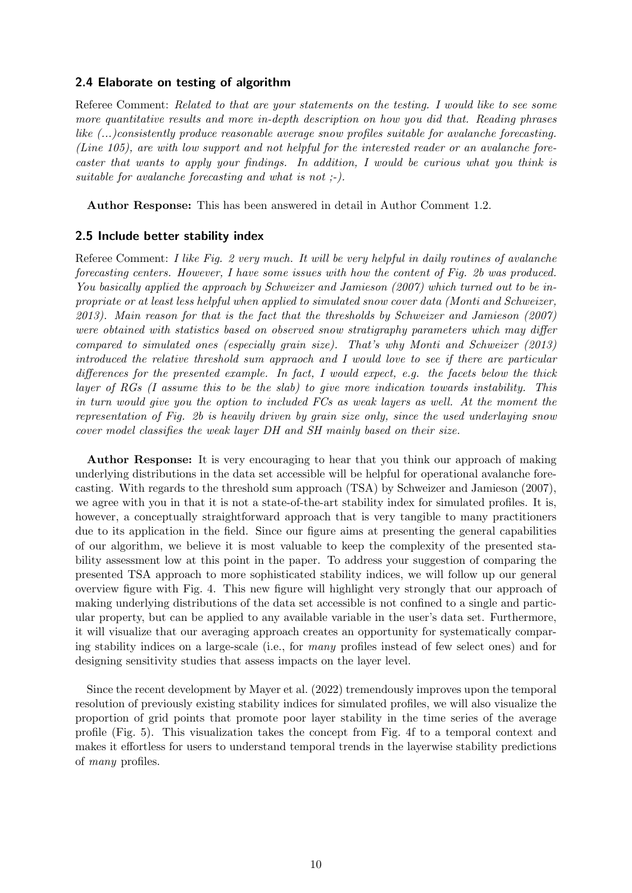## 2.4 Elaborate on testing of algorithm

Referee Comment: Related to that are your statements on the testing. I would like to see some more quantitative results and more in-depth description on how you did that. Reading phrases like (...)consistently produce reasonable average snow profiles suitable for avalanche forecasting. (Line 105), are with low support and not helpful for the interested reader or an avalanche forecaster that wants to apply your findings. In addition, I would be curious what you think is suitable for avalanche forecasting and what is not ;-).

Author Response: This has been answered in detail in Author Comment 1.2.

## 2.5 Include better stability index

Referee Comment: I like Fig. 2 very much. It will be very helpful in daily routines of avalanche forecasting centers. However, I have some issues with how the content of Fig. 2b was produced. You basically applied the approach by Schweizer and Jamieson (2007) which turned out to be inpropriate or at least less helpful when applied to simulated snow cover data (Monti and Schweizer, 2013). Main reason for that is the fact that the thresholds by Schweizer and Jamieson (2007) were obtained with statistics based on observed snow stratigraphy parameters which may differ compared to simulated ones (especially grain size). That's why Monti and Schweizer (2013) introduced the relative threshold sum appraoch and I would love to see if there are particular differences for the presented example. In fact, I would expect, e.g. the facets below the thick layer of RGs (I assume this to be the slab) to give more indication towards instability. This in turn would give you the option to included FCs as weak layers as well. At the moment the representation of Fig. 2b is heavily driven by grain size only, since the used underlaying snow cover model classifies the weak layer DH and SH mainly based on their size.

Author Response: It is very encouraging to hear that you think our approach of making underlying distributions in the data set accessible will be helpful for operational avalanche forecasting. With regards to the threshold sum approach (TSA) by [Schweizer and Jamieson](#page-12-1) [\(2007\)](#page-12-1), we agree with you in that it is not a state-of-the-art stability index for simulated profiles. It is, however, a conceptually straightforward approach that is very tangible to many practitioners due to its application in the field. Since our figure aims at presenting the general capabilities of our algorithm, we believe it is most valuable to keep the complexity of the presented stability assessment low at this point in the paper. To address your suggestion of comparing the presented TSA approach to more sophisticated stability indices, we will follow up our general overview figure with Fig. [4.](#page-10-0) This new figure will highlight very strongly that our approach of making underlying distributions of the data set accessible is not confined to a single and particular property, but can be applied to any available variable in the user's data set. Furthermore, it will visualize that our averaging approach creates an opportunity for systematically comparing stability indices on a large-scale (i.e., for many profiles instead of few select ones) and for designing sensitivity studies that assess impacts on the layer level.

Since the recent development by [Mayer et al.](#page-11-1) [\(2022\)](#page-11-1) tremendously improves upon the temporal resolution of previously existing stability indices for simulated profiles, we will also visualize the proportion of grid points that promote poor layer stability in the time series of the average profile (Fig. [5\)](#page-10-1). This visualization takes the concept from Fig. [4f](#page-10-0) to a temporal context and makes it effortless for users to understand temporal trends in the layerwise stability predictions of many profiles.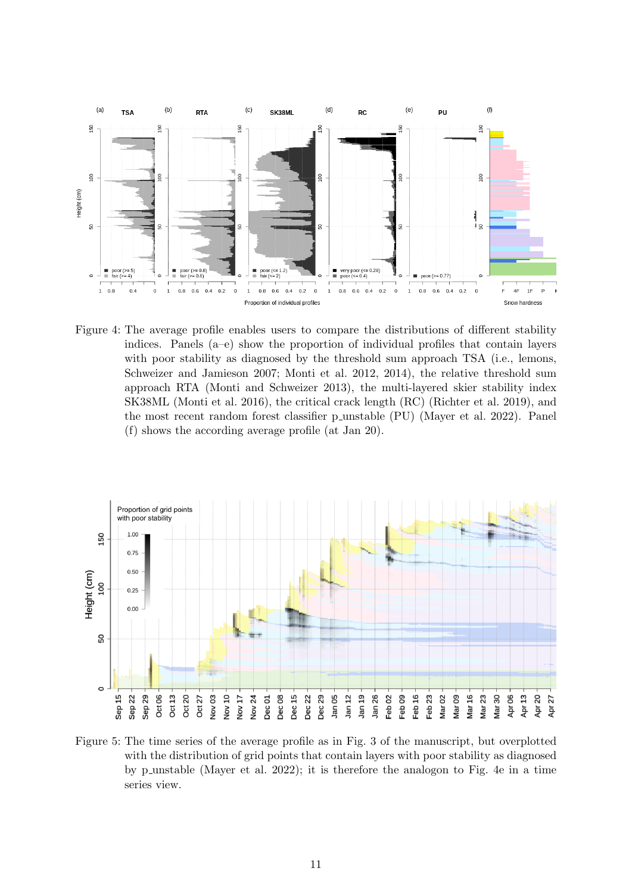

<span id="page-10-0"></span>Figure 4: The average profile enables users to compare the distributions of different stability indices. Panels (a–e) show the proportion of individual profiles that contain layers with poor stability as diagnosed by the threshold sum approach TSA (i.e., lemons, [Schweizer and Jamieson 2007;](#page-12-1) [Monti et al. 2012,](#page-12-5) [2014\)](#page-12-6), the relative threshold sum approach RTA [\(Monti and Schweizer 2013\)](#page-12-2), the multi-layered skier stability index SK38ML [\(Monti et al. 2016\)](#page-12-3), the critical crack length (RC) [\(Richter et al. 2019\)](#page-12-4), and the most recent random forest classifier p\_unstable (PU) [\(Mayer et al. 2022\)](#page-11-1). Panel (f) shows the according average profile (at Jan 20).



<span id="page-10-1"></span>Figure 5: The time series of the average profile as in Fig. 3 of the manuscript, but overplotted with the distribution of grid points that contain layers with poor stability as diagnosed by p unstable [\(Mayer et al. 2022\)](#page-11-1); it is therefore the analogon to Fig. [4e](#page-10-0) in a time series view.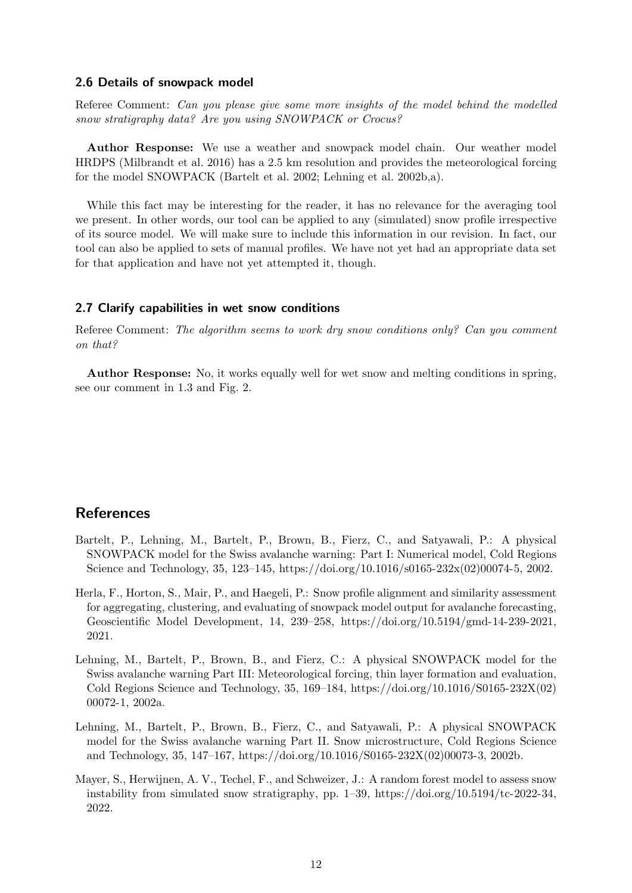#### 2.6 Details of snowpack model

Referee Comment: Can you please give some more insights of the model behind the modelled snow stratigraphy data? Are you using SNOWPACK or Crocus?

Author Response: We use a weather and snowpack model chain. Our weather model HRDPS [\(Milbrandt et al. 2016\)](#page-12-7) has a 2.5 km resolution and provides the meteorological forcing for the model SNOWPACK [\(Bartelt et al. 2002;](#page-11-2) [Lehning et al. 2002b,](#page-11-3)[a\)](#page-11-4).

While this fact may be interesting for the reader, it has no relevance for the averaging tool we present. In other words, our tool can be applied to any (simulated) snow profile irrespective of its source model. We will make sure to include this information in our revision. In fact, our tool can also be applied to sets of manual profiles. We have not yet had an appropriate data set for that application and have not yet attempted it, though.

#### 2.7 Clarify capabilities in wet snow conditions

Referee Comment: The algorithm seems to work dry snow conditions only? Can you comment on that?

Author Response: No, it works equally well for wet snow and melting conditions in spring, see our comment in 1.3 and Fig. [2.](#page-4-0)

# **References**

- <span id="page-11-2"></span>Bartelt, P., Lehning, M., Bartelt, P., Brown, B., Fierz, C., and Satyawali, P.: A physical SNOWPACK model for the Swiss avalanche warning: Part I: Numerical model, Cold Regions Science and Technology, 35, 123–145, https://doi.org/10.1016/s0165-232x(02)00074-5, 2002.
- <span id="page-11-0"></span>Herla, F., Horton, S., Mair, P., and Haegeli, P.: Snow profile alignment and similarity assessment for aggregating, clustering, and evaluating of snowpack model output for avalanche forecasting, Geoscientific Model Development, 14, 239–258, https://doi.org/10.5194/gmd-14-239-2021, 2021.
- <span id="page-11-4"></span>Lehning, M., Bartelt, P., Brown, B., and Fierz, C.: A physical SNOWPACK model for the Swiss avalanche warning Part III: Meteorological forcing, thin layer formation and evaluation, Cold Regions Science and Technology, 35, 169–184, https://doi.org/10.1016/S0165-232X(02) 00072-1, 2002a.
- <span id="page-11-3"></span>Lehning, M., Bartelt, P., Brown, B., Fierz, C., and Satyawali, P.: A physical SNOWPACK model for the Swiss avalanche warning Part II. Snow microstructure, Cold Regions Science and Technology, 35, 147–167, https://doi.org/10.1016/S0165-232X(02)00073-3, 2002b.
- <span id="page-11-1"></span>Mayer, S., Herwijnen, A. V., Techel, F., and Schweizer, J.: A random forest model to assess snow instability from simulated snow stratigraphy, pp.  $1-39$ , https://doi.org/10.5194/tc-2022-34, 2022.